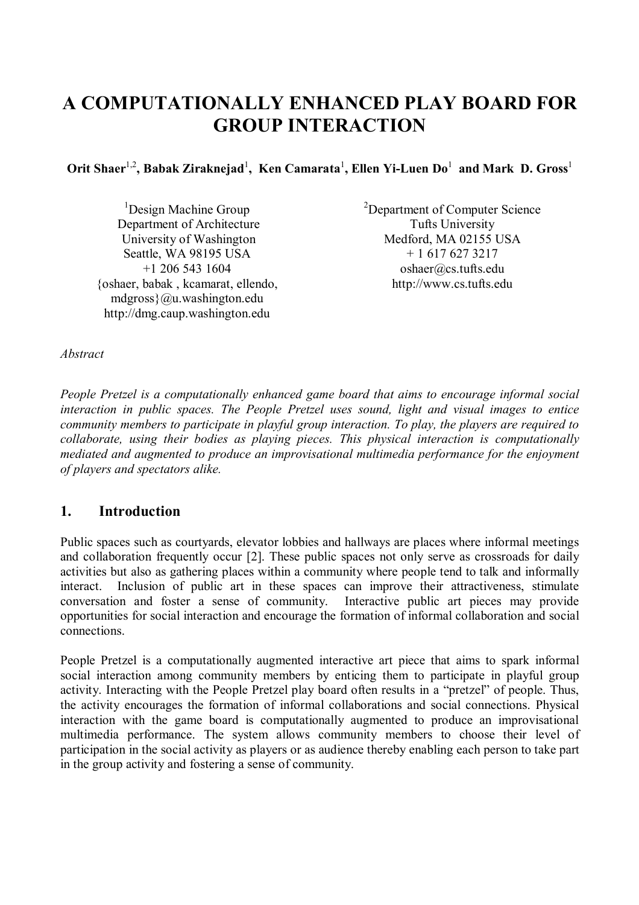# **A COMPUTATIONALLY ENHANCED PLAY BOARD FOR GROUP INTERACTION**

**Orit Shaer**1,2**, Babak Ziraknejad**<sup>1</sup> **, Ken Camarata**<sup>1</sup> **, Ellen Yi-Luen Do**<sup>1</sup>  **and Mark D. Gross**<sup>1</sup>

<sup>1</sup>Design Machine Group Department of Architecture University of Washington Seattle, WA 98195 USA +1 206 543 1604 {oshaer, babak , kcamarat, ellendo, mdgross}@u.washington.edu http://dmg.caup.washington.edu

<sup>2</sup>Department of Computer Science Tufts University Medford, MA 02155 USA + 1 617 627 3217 oshaer@cs.tufts.edu http://www.cs.tufts.edu

*Abstract* 

*People Pretzel is a computationally enhanced game board that aims to encourage informal social interaction in public spaces. The People Pretzel uses sound, light and visual images to entice community members to participate in playful group interaction. To play, the players are required to collaborate, using their bodies as playing pieces. This physical interaction is computationally mediated and augmented to produce an improvisational multimedia performance for the enjoyment of players and spectators alike.* 

## **1. Introduction**

Public spaces such as courtyards, elevator lobbies and hallways are places where informal meetings and collaboration frequently occur [2]. These public spaces not only serve as crossroads for daily activities but also as gathering places within a community where people tend to talk and informally interact. Inclusion of public art in these spaces can improve their attractiveness, stimulate conversation and foster a sense of community. Interactive public art pieces may provide opportunities for social interaction and encourage the formation of informal collaboration and social connections.

People Pretzel is a computationally augmented interactive art piece that aims to spark informal social interaction among community members by enticing them to participate in playful group activity. Interacting with the People Pretzel play board often results in a "pretzel" of people. Thus, the activity encourages the formation of informal collaborations and social connections. Physical interaction with the game board is computationally augmented to produce an improvisational multimedia performance. The system allows community members to choose their level of participation in the social activity as players or as audience thereby enabling each person to take part in the group activity and fostering a sense of community.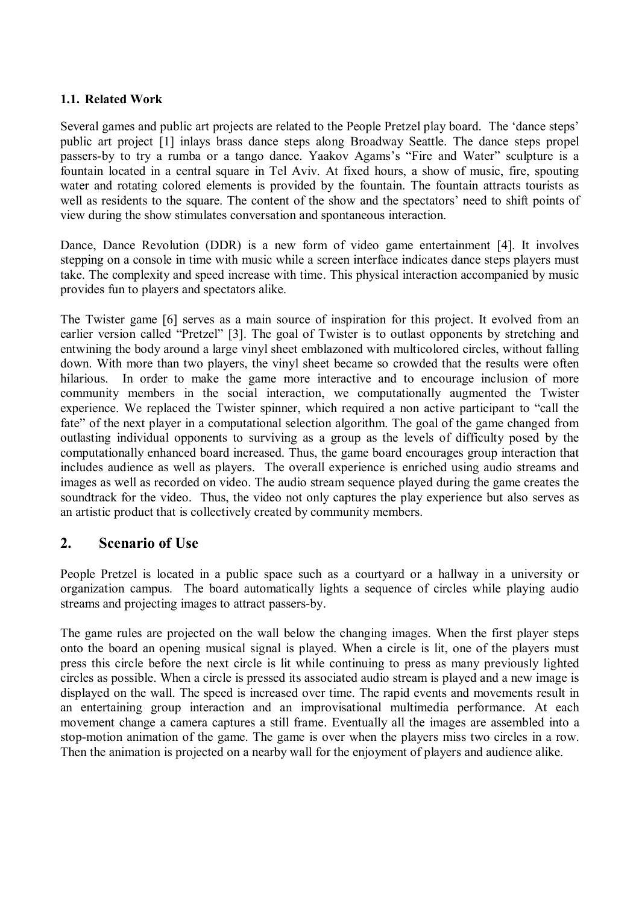#### **1.1. Related Work**

Several games and public art projects are related to the People Pretzel play board. The 'dance steps' public art project [1] inlays brass dance steps along Broadway Seattle. The dance steps propel passers-by to try a rumba or a tango dance. Yaakov Agams's "Fire and Water" sculpture is a fountain located in a central square in Tel Aviv. At fixed hours, a show of music, fire, spouting water and rotating colored elements is provided by the fountain. The fountain attracts tourists as well as residents to the square. The content of the show and the spectators' need to shift points of view during the show stimulates conversation and spontaneous interaction.

Dance, Dance Revolution (DDR) is a new form of video game entertainment [4]. It involves stepping on a console in time with music while a screen interface indicates dance steps players must take. The complexity and speed increase with time. This physical interaction accompanied by music provides fun to players and spectators alike.

The Twister game [6] serves as a main source of inspiration for this project. It evolved from an earlier version called "Pretzel" [3]. The goal of Twister is to outlast opponents by stretching and entwining the body around a large vinyl sheet emblazoned with multicolored circles, without falling down. With more than two players, the vinyl sheet became so crowded that the results were often hilarious. In order to make the game more interactive and to encourage inclusion of more community members in the social interaction, we computationally augmented the Twister experience. We replaced the Twister spinner, which required a non active participant to "call the fate" of the next player in a computational selection algorithm. The goal of the game changed from outlasting individual opponents to surviving as a group as the levels of difficulty posed by the computationally enhanced board increased. Thus, the game board encourages group interaction that includes audience as well as players. The overall experience is enriched using audio streams and images as well as recorded on video. The audio stream sequence played during the game creates the soundtrack for the video. Thus, the video not only captures the play experience but also serves as an artistic product that is collectively created by community members.

## **2. Scenario of Use**

People Pretzel is located in a public space such as a courtyard or a hallway in a university or organization campus. The board automatically lights a sequence of circles while playing audio streams and projecting images to attract passers-by.

The game rules are projected on the wall below the changing images. When the first player steps onto the board an opening musical signal is played. When a circle is lit, one of the players must press this circle before the next circle is lit while continuing to press as many previously lighted circles as possible. When a circle is pressed its associated audio stream is played and a new image is displayed on the wall. The speed is increased over time. The rapid events and movements result in an entertaining group interaction and an improvisational multimedia performance. At each movement change a camera captures a still frame. Eventually all the images are assembled into a stop-motion animation of the game. The game is over when the players miss two circles in a row. Then the animation is projected on a nearby wall for the enjoyment of players and audience alike.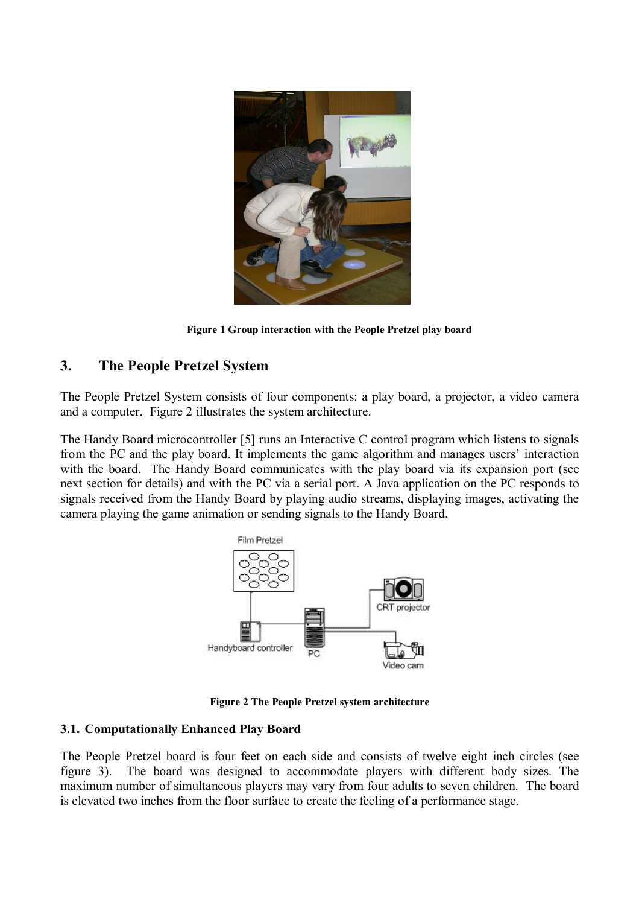

**Figure 1 Group interaction with the People Pretzel play board** 

# **3. The People Pretzel System**

The People Pretzel System consists of four components: a play board, a projector, a video camera and a computer. Figure 2 illustrates the system architecture.

The Handy Board microcontroller [5] runs an Interactive C control program which listens to signals from the PC and the play board. It implements the game algorithm and manages users' interaction with the board. The Handy Board communicates with the play board via its expansion port (see next section for details) and with the PC via a serial port. A Java application on the PC responds to signals received from the Handy Board by playing audio streams, displaying images, activating the camera playing the game animation or sending signals to the Handy Board.



**Figure 2 The People Pretzel system architecture**

#### **3.1. Computationally Enhanced Play Board**

The People Pretzel board is four feet on each side and consists of twelve eight inch circles (see figure 3). The board was designed to accommodate players with different body sizes. The maximum number of simultaneous players may vary from four adults to seven children. The board is elevated two inches from the floor surface to create the feeling of a performance stage.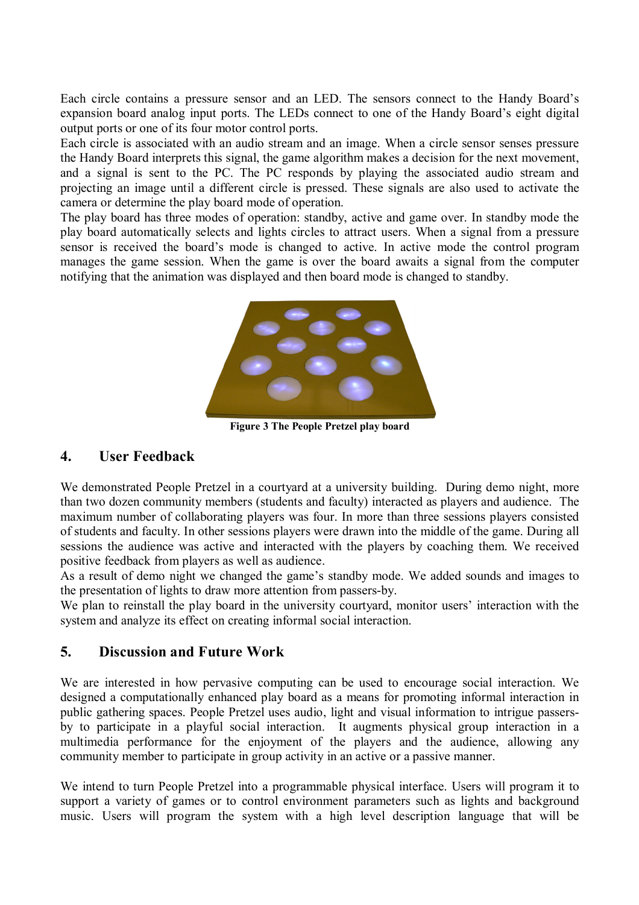Each circle contains a pressure sensor and an LED. The sensors connect to the Handy Board's expansion board analog input ports. The LEDs connect to one of the Handy Board's eight digital output ports or one of its four motor control ports.

Each circle is associated with an audio stream and an image. When a circle sensor senses pressure the Handy Board interprets this signal, the game algorithm makes a decision for the next movement, and a signal is sent to the PC. The PC responds by playing the associated audio stream and projecting an image until a different circle is pressed. These signals are also used to activate the camera or determine the play board mode of operation.

The play board has three modes of operation: standby, active and game over. In standby mode the play board automatically selects and lights circles to attract users. When a signal from a pressure sensor is received the board's mode is changed to active. In active mode the control program manages the game session. When the game is over the board awaits a signal from the computer notifying that the animation was displayed and then board mode is changed to standby.



**Figure 3 The People Pretzel play board** 

## **4. User Feedback**

We demonstrated People Pretzel in a courtyard at a university building. During demo night, more than two dozen community members (students and faculty) interacted as players and audience. The maximum number of collaborating players was four. In more than three sessions players consisted of students and faculty. In other sessions players were drawn into the middle of the game. During all sessions the audience was active and interacted with the players by coaching them. We received positive feedback from players as well as audience.

As a result of demo night we changed the game's standby mode. We added sounds and images to the presentation of lights to draw more attention from passers-by.

We plan to reinstall the play board in the university courtyard, monitor users' interaction with the system and analyze its effect on creating informal social interaction.

# **5. Discussion and Future Work**

We are interested in how pervasive computing can be used to encourage social interaction. We designed a computationally enhanced play board as a means for promoting informal interaction in public gathering spaces. People Pretzel uses audio, light and visual information to intrigue passersby to participate in a playful social interaction. It augments physical group interaction in a multimedia performance for the enjoyment of the players and the audience, allowing any community member to participate in group activity in an active or a passive manner.

We intend to turn People Pretzel into a programmable physical interface. Users will program it to support a variety of games or to control environment parameters such as lights and background music. Users will program the system with a high level description language that will be